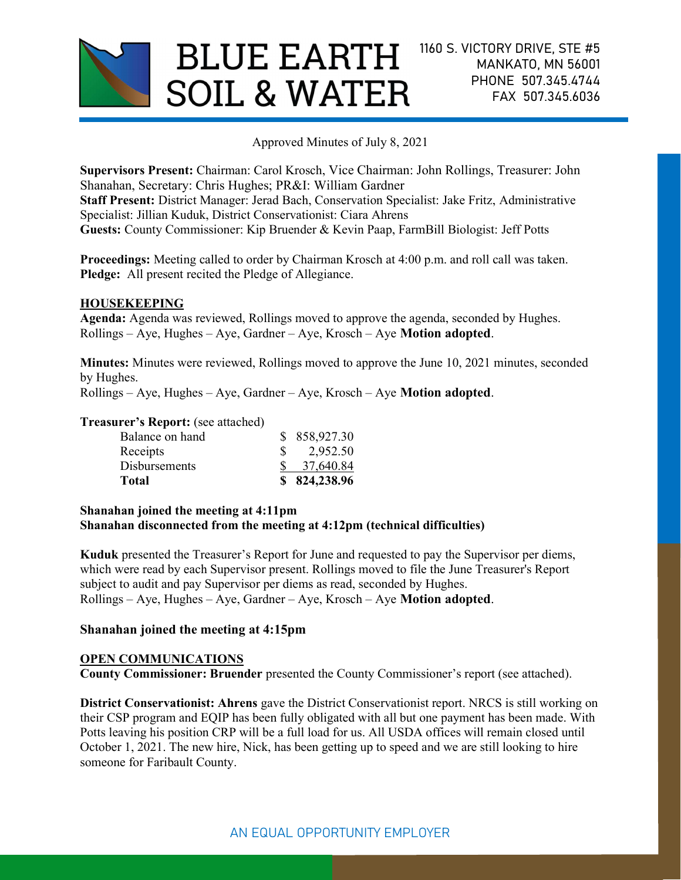

Approved Minutes of July 8, 2021

Supervisors Present: Chairman: Carol Krosch, Vice Chairman: John Rollings, Treasurer: John Shanahan, Secretary: Chris Hughes; PR&I: William Gardner Staff Present: District Manager: Jerad Bach, Conservation Specialist: Jake Fritz, Administrative Specialist: Jillian Kuduk, District Conservationist: Ciara Ahrens Guests: County Commissioner: Kip Bruender & Kevin Paap, FarmBill Biologist: Jeff Potts

Proceedings: Meeting called to order by Chairman Krosch at 4:00 p.m. and roll call was taken. Pledge: All present recited the Pledge of Allegiance.

## HOUSEKEEPING

Agenda: Agenda was reviewed, Rollings moved to approve the agenda, seconded by Hughes. Rollings – Aye, Hughes – Aye, Gardner – Aye, Krosch – Aye Motion adopted.

Minutes: Minutes were reviewed, Rollings moved to approve the June 10, 2021 minutes, seconded by Hughes.

Rollings – Aye, Hughes – Aye, Gardner – Aye, Krosch – Aye Motion adopted.

#### Treasurer's Report: (see attached)

## Shanahan joined the meeting at 4:11pm Shanahan disconnected from the meeting at 4:12pm (technical difficulties)

Kuduk presented the Treasurer's Report for June and requested to pay the Supervisor per diems, which were read by each Supervisor present. Rollings moved to file the June Treasurer's Report subject to audit and pay Supervisor per diems as read, seconded by Hughes. Rollings – Aye, Hughes – Aye, Gardner – Aye, Krosch – Aye Motion adopted.

## Shanahan joined the meeting at 4:15pm

## OPEN COMMUNICATIONS

County Commissioner: Bruender presented the County Commissioner's report (see attached).

District Conservationist: Ahrens gave the District Conservationist report. NRCS is still working on their CSP program and EQIP has been fully obligated with all but one payment has been made. With Potts leaving his position CRP will be a full load for us. All USDA offices will remain closed until October 1, 2021. The new hire, Nick, has been getting up to speed and we are still looking to hire someone for Faribault County.